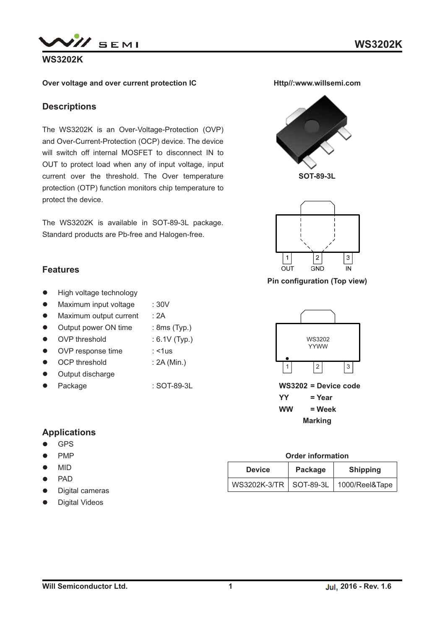

## **WS3202K**

### **Over voltage and over current protection IC**

## **Descriptions**

The WS3202K is an Over-Voltage-Protection (OVP) and Over-Current-Protection (OCP) device. The device will switch off internal MOSFET to disconnect IN to OUT to protect load when any of input voltage, input current over the threshold. The Over temperature protection (OTP) function monitors chip temperature to protect the device.

The WS3202K is available in SOT-89-3L package. Standard products are Pb-free and Halogen-free.

## **Features**

- $\bullet$ High voltage technology
- $\bullet$ Maximum input voltage : 30V
- $\bullet$ Maximum output current : 2A
- -Output power ON time : 8ms (Typ.)
- OVP threshold : 6.1V (Typ.)
- OVP response time : <1us
- $\bullet$ OCP threshold : 2A (Min.)
- $\bullet$ Output discharge
- $\bullet$ Package : SOT-89-3L

## **Applications**

- -GPS
- $\bullet$ PMP
- $\bullet$ MID
- -PAD
- -Digital cameras
- $\bullet$ Digital Videos





**Pin configuration (Top view)**



#### **Order information**

| <b>Device</b>            | Package | <b>Shipping</b> |
|--------------------------|---------|-----------------|
| WS3202K-3/TR   SOT-89-3L |         | 1000/Reel&Tape  |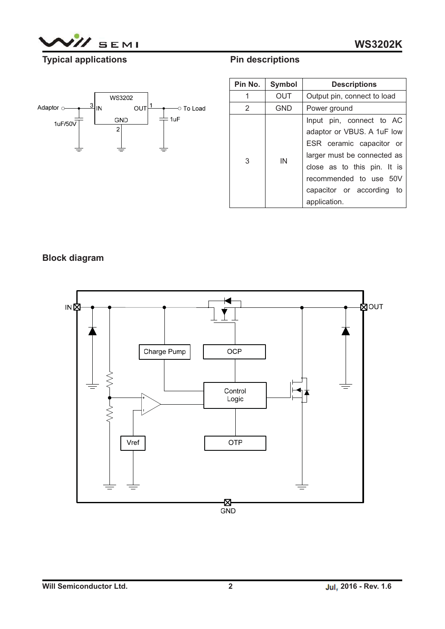

# **Typical applications**



| Pin No. | Symbol | <b>Descriptions</b>                                                                                                                                                                                                        |  |
|---------|--------|----------------------------------------------------------------------------------------------------------------------------------------------------------------------------------------------------------------------------|--|
| 1       | OUT    | Output pin, connect to load                                                                                                                                                                                                |  |
| 2       | GND    | Power ground                                                                                                                                                                                                               |  |
| 3       | IN     | Input pin, connect to AC<br>adaptor or VBUS. A 1uF low<br>ESR ceramic capacitor or<br>larger must be connected as<br>close as to this pin. It is<br>recommended to use 50V<br>capacitor or according<br>to<br>application. |  |

**Pin descriptions**

## **Block diagram**

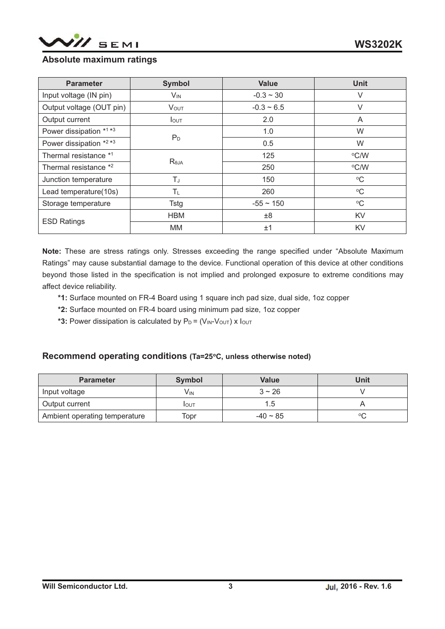

## **Absolute maximum ratings**

| <b>Parameter</b>         | <b>Symbol</b>     | <b>Value</b>    | <b>Unit</b>     |
|--------------------------|-------------------|-----------------|-----------------|
| Input voltage (IN pin)   | $V_{\mathsf{IN}}$ | $-0.3 - 30$     | V               |
| Output voltage (OUT pin) | <b>VOUT</b>       | $-0.3 \sim 6.5$ | $\vee$          |
| Output current           | $I_{\text{OUT}}$  | 2.0             | A               |
| Power dissipation *1 *3  |                   | 1.0             | W               |
| Power dissipation *2 *3  | $P_D$             | 0.5             | W               |
| Thermal resistance *1    |                   | 125             | °C/W            |
| Thermal resistance *2    | $R_{\theta$ JA    | 250             | °C/W            |
| Junction temperature     | TJ                | 150             | $\rm ^{o}C$     |
| Lead temperature(10s)    | $T_{L}$           | 260             | $\rm ^{o}C$     |
| Storage temperature      | Tstg              | $-55 \sim 150$  | $\rm ^{\circ}C$ |
| <b>ESD Ratings</b>       | <b>HBM</b>        | ±8              | KV              |
|                          | МM                | ±1              | KV              |

**Note:** These are stress ratings only. Stresses exceeding the range specified under "Absolute Maximum Ratings" may cause substantial damage to the device. Functional operation of this device at other conditions beyond those listed in the specification is not implied and prolonged exposure to extreme conditions may affect device reliability.

- **\*1:** Surface mounted on FR-4 Board using 1 square inch pad size, dual side, 1oz copper
- **\*2:** Surface mounted on FR-4 board using minimum pad size, 1oz copper
- \*3: Power dissipation is calculated by  $P_D = (V_{IN} V_{OUT}) \times I_{OUT}$

### **Recommend operating conditions (Ta=25oC, unless otherwise noted)**

| <b>Parameter</b>              | Symbol | <b>Value</b>  | Unit   |
|-------------------------------|--------|---------------|--------|
| Input voltage                 | Vın    | $3 \sim 26$   |        |
| Output current                | IOUT   |               |        |
| Ambient operating temperature | Topr   | $-40 \sim 85$ | $\sim$ |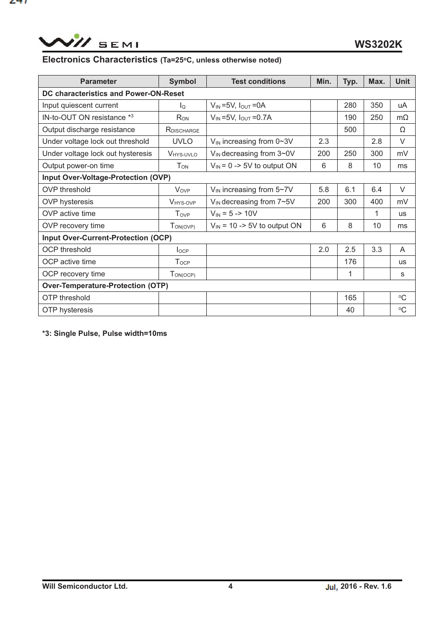WII SEMI

471

# **Electronics Characteristics (Ta=25oC, unless otherwise noted)**

| <b>Parameter</b>                             | <b>Symbol</b>         | <b>Test conditions</b>                                                                        | Min. | Typ.         | Max. | <b>Unit</b> |
|----------------------------------------------|-----------------------|-----------------------------------------------------------------------------------------------|------|--------------|------|-------------|
| <b>DC characteristics and Power-ON-Reset</b> |                       |                                                                                               |      |              |      |             |
| Input quiescent current                      | lo                    | $V_{IN} = 5V$ , $I_{OUT} = 0A$                                                                |      | 280          | 350  | uA          |
| IN-to-OUT ON resistance *3                   | R <sub>ON</sub>       | $V_{IN} = 5V$ , $I_{OUT} = 0.7A$                                                              |      | 190          | 250  | $m\Omega$   |
| Output discharge resistance                  | RDISCHARGE            |                                                                                               |      | 500          |      | Ω           |
| Under voltage lock out threshold             | <b>UVLO</b>           | $V_{IN}$ increasing from 0~3V                                                                 | 2.3  |              | 2.8  | $\vee$      |
| Under voltage lock out hysteresis            | V <sub>HYS-UVLO</sub> | $V_{IN}$ decreasing from $3\negmedspace\negmedspace\negmedspace\negmedspace\negthinspace\sim$ | 200  | 250          | 300  | mV          |
| Output power-on time                         | $T_{ON}$              | $V_{IN}$ = 0 -> 5V to output ON                                                               | 6    | 8            | 10   | ms          |
| Input Over-Voltage-Protection (OVP)          |                       |                                                                                               |      |              |      |             |
| OVP threshold                                | Vove                  | $V_{IN}$ increasing from $5~V$                                                                | 5.8  | 6.1          | 6.4  | V           |
| <b>OVP</b> hysteresis                        | <b>VHYS-OVP</b>       | $V_{IN}$ decreasing from $7\neg 5V$                                                           | 200  | 300          | 400  | mV          |
| OVP active time                              | Tovp                  | $V_{IN} = 5 - 10V$                                                                            |      |              |      | <b>us</b>   |
| OVP recovery time                            | $T_{ON(OVP)}$         | $V_{\text{IN}}$ = 10 -> 5V to output ON                                                       | 6    | 8            | 10   | ms          |
| <b>Input Over-Current-Protection (OCP)</b>   |                       |                                                                                               |      |              |      |             |
| <b>OCP</b> threshold                         | locp                  |                                                                                               | 2.0  | 2.5          | 3.3  | A           |
| OCP active time                              | <b>Tocp</b>           |                                                                                               |      | 176          |      | <b>US</b>   |
| OCP recovery time                            | $T_{ON(OCP)}$         |                                                                                               |      | $\mathbf{1}$ |      | S           |
| <b>Over-Temperature-Protection (OTP)</b>     |                       |                                                                                               |      |              |      |             |
| <b>OTP</b> threshold                         |                       |                                                                                               |      | 165          |      | $^{\circ}C$ |
| OTP hysteresis                               |                       |                                                                                               |      | 40           |      | $\rm ^{o}C$ |

**\*3: Single Pulse, Pulse width=10ms**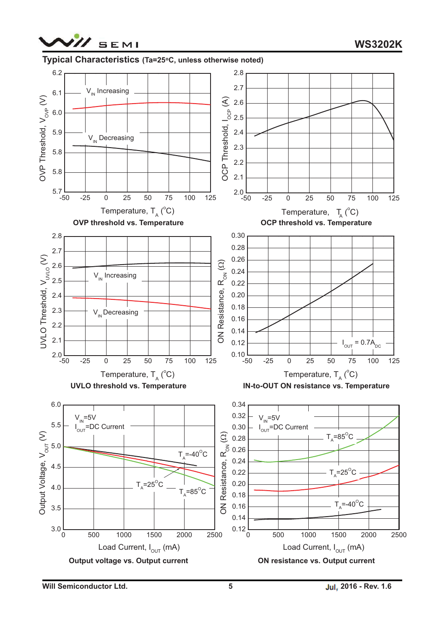



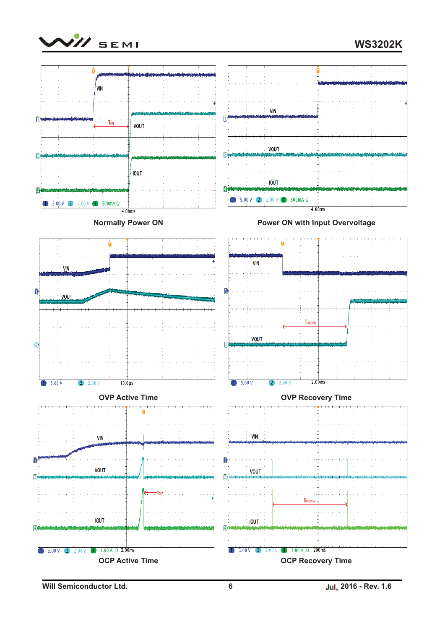

**WS3202K**



**Will Semiconductor Ltd. 6 Jul, 2016 - Rev. 1.6**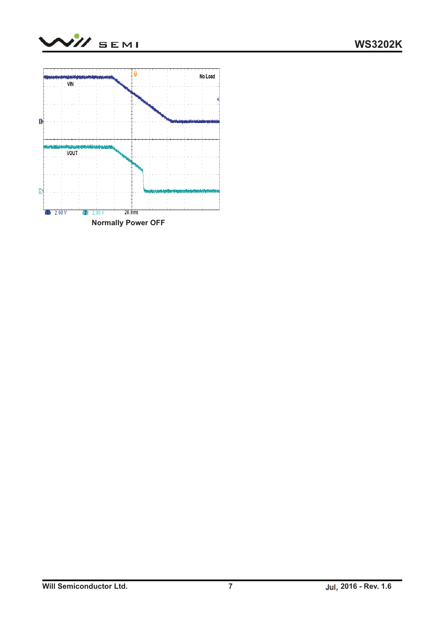